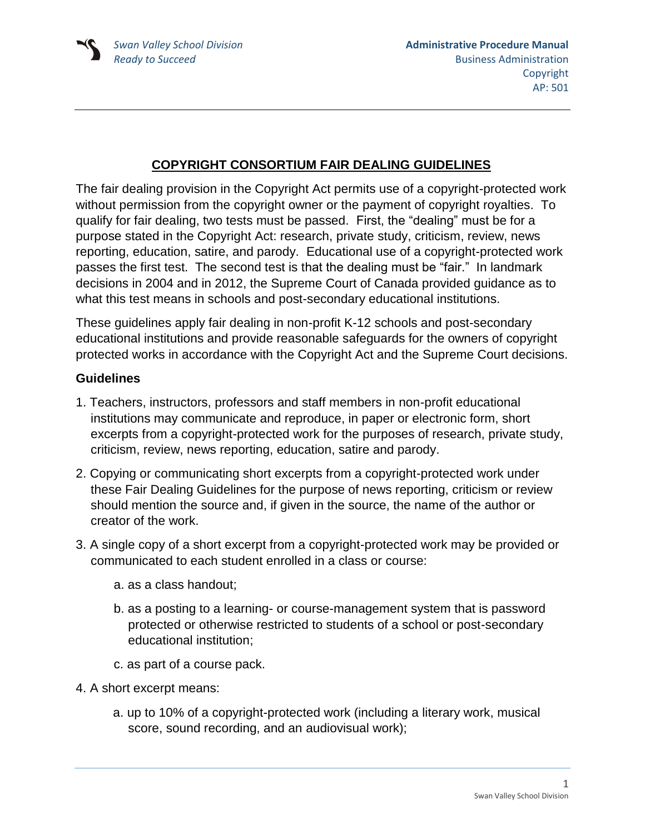## **COPYRIGHT CONSORTIUM FAIR DEALING GUIDELINES**

The fair dealing provision in the Copyright Act permits use of a copyright-protected work without permission from the copyright owner or the payment of copyright royalties. To qualify for fair dealing, two tests must be passed. First, the "dealing" must be for a purpose stated in the Copyright Act: research, private study, criticism, review, news reporting, education, satire, and parody. Educational use of a copyright-protected work passes the first test. The second test is that the dealing must be "fair." In landmark decisions in 2004 and in 2012, the Supreme Court of Canada provided guidance as to what this test means in schools and post-secondary educational institutions.

These guidelines apply fair dealing in non-profit K-12 schools and post-secondary educational institutions and provide reasonable safeguards for the owners of copyright protected works in accordance with the Copyright Act and the Supreme Court decisions.

## **Guidelines**

- 1. Teachers, instructors, professors and staff members in non-profit educational institutions may communicate and reproduce, in paper or electronic form, short excerpts from a copyright-protected work for the purposes of research, private study, criticism, review, news reporting, education, satire and parody.
- 2. Copying or communicating short excerpts from a copyright-protected work under these Fair Dealing Guidelines for the purpose of news reporting, criticism or review should mention the source and, if given in the source, the name of the author or creator of the work.
- 3. A single copy of a short excerpt from a copyright-protected work may be provided or communicated to each student enrolled in a class or course:
	- a. as a class handout;
	- b. as a posting to a learning- or course-management system that is password protected or otherwise restricted to students of a school or post-secondary educational institution;
	- c. as part of a course pack.
- 4. A short excerpt means:
	- a. up to 10% of a copyright-protected work (including a literary work, musical score, sound recording, and an audiovisual work);